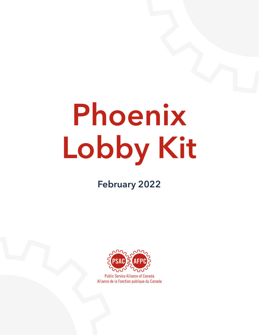# Phoenix Lobby Kit

### February 2022



**Public Service Alliance of Canada** Alliance de la Fonction publique du Canada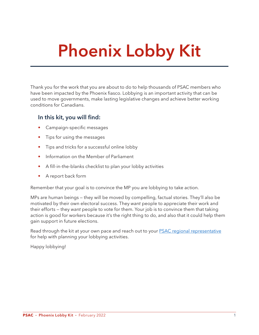## Phoenix Lobby Kit

Thank you for the work that you are about to do to help thousands of PSAC members who have been impacted by the Phoenix fiasco. Lobbying is an important activity that can be used to move governments, make lasting legislative changes and achieve better working conditions for Canadians.

#### In this kit, you will find:

- Campaign-specific messages
- Tips for using the messages
- Tips and tricks for a successful online lobby
- Information on the Member of Parliament
- A fill-in-the-blanks checklist to plan your lobby activities
- A report back form

Remember that your goal is to convince the MP you are lobbying to take action.

MPs are human beings — they will be moved by compelling, factual stories. They'll also be motivated by their own electoral success. They *want* people to appreciate their work and their efforts — they *want* people to vote for them. Your job is to convince them that taking action is good for workers because it's the right thing to do, and also that it could help them gain support in future elections.

Read through the kit at your own pace and reach out to your [PSAC regional representative](http://psacunion.ca/regional-office-contact) for help with planning your lobbying activities.

Happy lobbying!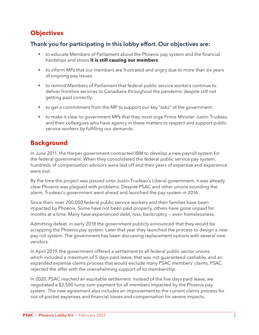#### **Objectives**

#### Thank you for participating in this lobby effort. Our objectives are:

- to educate Members of Parliament about the Phoenix pay system and the financial hardships and stress **it is still causing our members**.
- to inform MPs that our members are frustrated and angry due to more than six years of ongoing pay issues.
- to remind Members of Parliament that federal public service workers continue to deliver frontline services to Canadians throughout the pandemic despite still not getting paid correctly.
- to get a commitment from the MP to support our key "asks" of the government.
- to make it clear to government MPs that they must urge Prime Minister Justin Trudeau and their colleagues who have agency in these matters to respect and support public service workers by fulfilling our demands.

#### **Background**

In June 2011, the Harper government contracted IBM to develop a new payroll system for the federal government. When they consolidated the federal public service pay system, hundreds of compensation advisors were laid off and their years of expertise and experience were lost.

By the time the project was passed onto Justin Trudeau's Liberal government, it was already clear Phoenix was plagued with problems. Despite PSAC and other unions sounding the alarm, Trudeau's government went ahead and launched the pay system in 2016.

Since then, over 200,000 federal public service workers and their families have been impacted by Phoenix. Some have not been paid properly, others have gone unpaid for months at a time. Many have experienced debt, loss, bankruptcy — even homelessness.

Admitting defeat, in early 2018 the government publicly announced that they would be scrapping the Phoenix pay system. Later that year they launched the process to design a new pay roll system. The government has been discussing replacement options with several new vendors.

In April 2019, the government offered a settlement to all federal public sector unions which included a maximum of 5 days paid leave, that was not guaranteed cashable, and an expanded expense claims process that would exclude many PSAC members' claims. PSAC rejected the offer with the overwhelming support of its membership.

In 2020, PSAC reached an equitable settlement. Instead of the five days paid leave, we negotiated a \$2,500 lump sum payment for all members impacted by the Phoenix pay system. The new agreement also includes an improvement to the current claims process for out-of-pocket expenses and financial losses and compensation for severe impacts.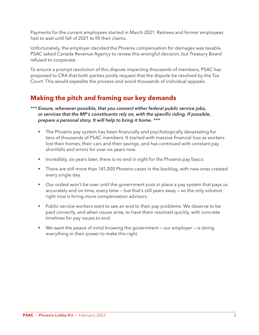Payments for the current employees started in March 2021. Retirees and former employees had to wait until fall of 2021 to fill their claims.

Unfortunately, the employer decided the Phoenix compensation for damages was taxable. PSAC asked Canada Revenue Agency to review this wrongful decision, but Treasury Board refused to cooperate.

To ensure a prompt resolution of this dispute impacting thousands of members, PSAC has proposed to CRA that both parties jointly request that the dispute be resolved by the Tax Court. This would expedite the process and avoid thousands of individual appeals.

#### **Making the pitch and framing our key demands**

*\*\*\* Ensure, whenever possible, that you connect either federal public service jobs, or services that the MP's constituents rely on, with the specific riding. If possible, prepare a personal story. It will help to bring it home. \*\*\**

- The Phoenix pay system has been financially and psychologically devastating for tens of thousands of PSAC members. It started with massive financial loss as workers lost their homes, their cars and their savings, and has continued with constant pay shortfalls and errors for over six years now.
- Incredibly, six years later, there is no end in sight for the Phoenix pay fiasco.
- There are still more than 141,000 Phoenix cases in the backlog, with new ones created every single day.
- Our ordeal won't be over until the government puts in place a pay system that pays us accurately and on time, every time — but that's still years away — so the only solution right now is hiring more compensation advisors.
- Public service workers want to see an end to their pay problems. We deserve to be paid correctly, and when issues arise, to have them resolved quickly, with concrete timelines for pay issues to end.
- We want the peace of mind knowing the government our employer is doing everything in their power to make this right.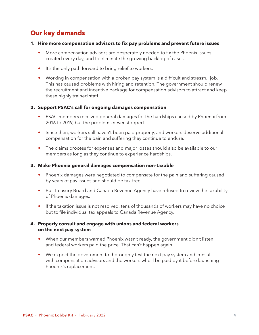#### **Our key demands**

#### **1. Hire more compensation advisors to fix pay problems and prevent future issues**

- More compensation advisors are desperately needed to fix the Phoenix issues created every day, and to eliminate the growing backlog of cases.
- It's the only path forward to bring relief to workers.
- Working in compensation with a broken pay system is a difficult and stressful job. This has caused problems with hiring and retention. The government should renew the recruitment and incentive package for compensation advisors to attract and keep these highly trained staff.

#### **2. Support PSAC's call for ongoing damages compensation**

- PSAC members received general damages for the hardships caused by Phoenix from 2016 to 2019, but the problems never stopped.
- Since then, workers still haven't been paid properly, and workers deserve additional compensation for the pain and suffering they continue to endure.
- The claims process for expenses and major losses should also be available to our members as long as they continue to experience hardships.

#### **3. Make Phoenix general damages compensation non-taxable**

- Phoenix damages were negotiated to compensate for the pain and suffering caused by years of pay issues and should be tax-free.
- But Treasury Board and Canada Revenue Agency have refused to review the taxability of Phoenix damages.
- If the taxation issue is not resolved, tens of thousands of workers may have no choice but to file individual tax appeals to Canada Revenue Agency.

#### **4. Properly consult and engage with unions and federal workers on the next pay system**

- When our members warned Phoenix wasn't ready, the government didn't listen, and federal workers paid the price. That can't happen again.
- We expect the government to thoroughly test the next pay system and consult with compensation advisors and the workers who'll be paid by it before launching Phoenix's replacement.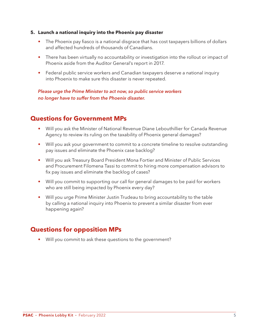#### **5. Launch a national inquiry into the Phoenix pay disaster**

- The Phoenix pay fiasco is a national disgrace that has cost taxpayers billions of dollars and affected hundreds of thousands of Canadians.
- There has been virtually no accountability or investigation into the rollout or impact of Phoenix aside from the Auditor General's report in 2017.
- Federal public service workers and Canadian taxpayers deserve a national inquiry into Phoenix to make sure this disaster is never repeated.

 *Please urge the Prime Minister to act now, so public service workers no longer have to suffer from the Phoenix disaster.* 

#### **Questions for Government MPs**

- Will you ask the Minister of National Revenue Diane Lebouthillier for Canada Revenue Agency to review its ruling on the taxability of Phoenix general damages?
- Will you ask your government to commit to a concrete timeline to resolve outstanding pay issues and eliminate the Phoenix case backlog?
- Will you ask Treasury Board President Mona Fortier and Minister of Public Services and Procurement Filomena Tassi to commit to hiring more compensation advisors to fix pay issues and eliminate the backlog of cases?
- Will you commit to supporting our call for general damages to be paid for workers who are still being impacted by Phoenix every day?
- Will you urge Prime Minister Justin Trudeau to bring accountability to the table by calling a national inquiry into Phoenix to prevent a similar disaster from ever happening again?

#### **Questions for opposition MPs**

• Will you commit to ask these questions to the government?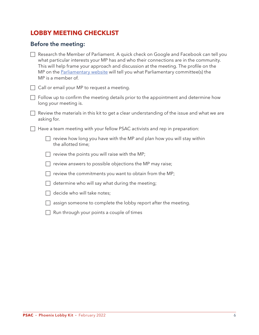#### **LOBBY MEETING CHECKLIST**

#### Before the meeting:

| $\Box$ Research the Member of Parliament. A quick check on Google and Facebook can tell you |
|---------------------------------------------------------------------------------------------|
| what particular interests your MP has and who their connections are in the community.       |
| This will help frame your approach and discussion at the meeting. The profile on the        |
| MP on the Parliamentary website will tell you what Parliamentary committee(s) the           |
| MP is a member of.                                                                          |

 $\Box$  Call or email your MP to request a meeting.

- $\Box$  Follow up to confirm the meeting details prior to the appointment and determine how long your meeting is.
- $\Box$  Review the materials in this kit to get a clear understanding of the issue and what we are asking for.

 $\Box$  Have a team meeting with your fellow PSAC activists and rep in preparation:

| $\Box$ review how long you have with the MP and plan how you will stay within |  |  |
|-------------------------------------------------------------------------------|--|--|
| the allotted time;                                                            |  |  |

 $\Box$  review the points you will raise with the MP;

 $\Box$  review answers to possible objections the MP may raise;

- $\Box$  review the commitments you want to obtain from the MP;
- $\Box$  determine who will say what during the meeting;
- $\Box$  decide who will take notes;
- $\Box$  assign someone to complete the lobby report after the meeting.
- $\Box$  Run through your points a couple of times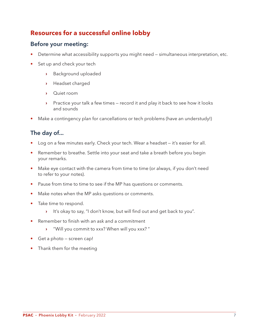#### **Resources for a successful online lobby**

#### Before your meeting:

- Determine what accessibility supports you might need simultaneous interpretation, etc.
- Set up and check your tech
	- **›** Background uploaded
	- **›** Headset charged
	- **›** Quiet room
	- **›** Practice your talk a few times record it and play it back to see how it looks and sounds
- Make a contingency plan for cancellations or tech problems (have an understudy!)

#### The day of...

- Log on a few minutes early. Check your tech. Wear a headset it's easier for all.
- Remember to breathe. Settle into your seat and take a breath before you begin your remarks.
- Make eye contact with the camera from time to time (or always, if you don't need to refer to your notes).
- Pause from time to time to see if the MP has questions or comments.
- Make notes when the MP asks questions or comments.
- Take time to respond.
	- **›** It's okay to say, "I don't know, but will find out and get back to you".
- Remember to finish with an ask and a commitment
	- **›** "Will you commit to xxx? When will you xxx? "
- Get a photo screen cap!
- Thank them for the meeting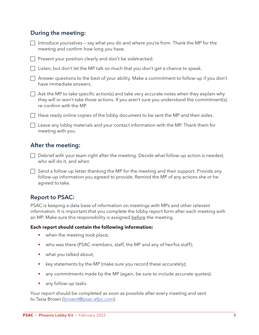#### During the meeting:

| $\Box$ Introduce yourselves – say what you do and where you're from. Thank the MP for the |  |
|-------------------------------------------------------------------------------------------|--|
| meeting and confirm how long you have.                                                    |  |

- $\Box$  Present your position clearly and don't be sidetracked.
- $\Box$  Listen, but don't let the MP talk so much that you don't get a chance to speak.

 $\Box$  Answer questions to the best of your ability. Make a commitment to follow-up if you don't have immediate answers.

| $\Box$ Ask the MP to take specific action(s) and take very accurate notes when they explain why |
|-------------------------------------------------------------------------------------------------|
| they will or won't take those actions. If you aren't sure you understood the commitment(s),     |
| re-confirm with the MP.                                                                         |

 $\Box$  Have ready online copies of the lobby document to be sent the MP and their aides.

 $\Box$  Leave any lobby materials and your contact information with the MP. Thank them for meeting with you.

#### After the meeting:

- $\Box$  Debrief with your team right after the meeting. Decide what follow-up action is needed, who will do it, and when.
- $\Box$  Send a follow-up letter thanking the MP for the meeting and their support. Provide any follow-up information you agreed to provide. Remind the MP of any actions she or he agreed to take.

#### Report to PSAC:

PSAC is keeping a data base of information on meetings with MPs and other relevant information. It is important that you complete the lobby report form after each meeting with an MP. Make sure this responsibility is assigned before the meeting.

#### **Each report should contain the following information:**

- when the meeting took place;
- who was there (PSAC members, staff, the MP and any of her/his staff);
- what you talked about;
- key statements by the MP (make sure you record these accurately);
- any commitments made by the MP (again, be sure to include accurate quotes);
- any follow-up tasks.

Your report should be completed as soon as possible after every meeting and sent to Tasia Brown [\(brownt@psac-afpc.com\)](mailto:brownt@psac-afpc.com).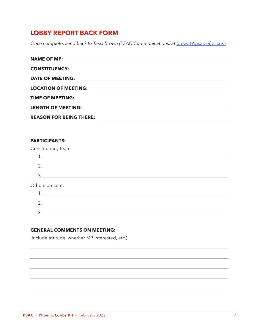#### **LOBBY REPORT BACK FORM**

*Once complete, send back to Tasia Brown (PSAC Communications) at [brownt@psac-afpc.com](mailto:brownt@psac-afpc.com)*

| <b>NAME OF MP:</b><br><u>and the state of the state of the state of the state of the state of the state of the state of the state of the state of the state of the state of the state of the state of the state of the state of the state of the state</u> |
|------------------------------------------------------------------------------------------------------------------------------------------------------------------------------------------------------------------------------------------------------------|
|                                                                                                                                                                                                                                                            |
| CONSTITUENCY: Network: Network: Network: Network: Network: Network: Network: Network: Network: Network: Network: Network: Network: Network: Network: Network: Network: Network: Network: Network: Network: Network: Network: N                             |
|                                                                                                                                                                                                                                                            |
|                                                                                                                                                                                                                                                            |
| <b>LOCATION OF MEETING:</b><br><u> 1989 - Johann Stoff, amerikansk politiker (d. 1989)</u>                                                                                                                                                                 |
|                                                                                                                                                                                                                                                            |
|                                                                                                                                                                                                                                                            |
| LENGTH OF MEETING:                                                                                                                                                                                                                                         |
|                                                                                                                                                                                                                                                            |
| <b>REASON FOR BEING THERE:</b>                                                                                                                                                                                                                             |
|                                                                                                                                                                                                                                                            |

#### **PARTICIPANTS:**

| Constituency team: |                    |  |  |
|--------------------|--------------------|--|--|
|                    |                    |  |  |
|                    | 2.                 |  |  |
|                    |                    |  |  |
| Others present:    |                    |  |  |
|                    |                    |  |  |
|                    | 2. $\qquad \qquad$ |  |  |
|                    |                    |  |  |

#### **GENERAL COMMENTS ON MEETING:**

(Include attitude, whether MP interested, etc.)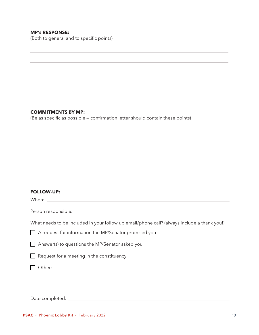#### **MP's RESPONSE:**

(Both to general and to specific points)

#### **COMMITMENTS BY MP:**

(Be as specific as possible — confirmation letter should contain these points)

#### **FOLLOW-UP:**

When:

Person responsible:

What needs to be included in your follow up email/phone call? (always include a thank you!)

 $\Box$  A request for information the MP/Senator promised you

 $\Box$  Answer(s) to questions the MP/Senator asked you

 $\Box$  Request for a meeting in the constituency

c Other:

Date completed: University of the completed: